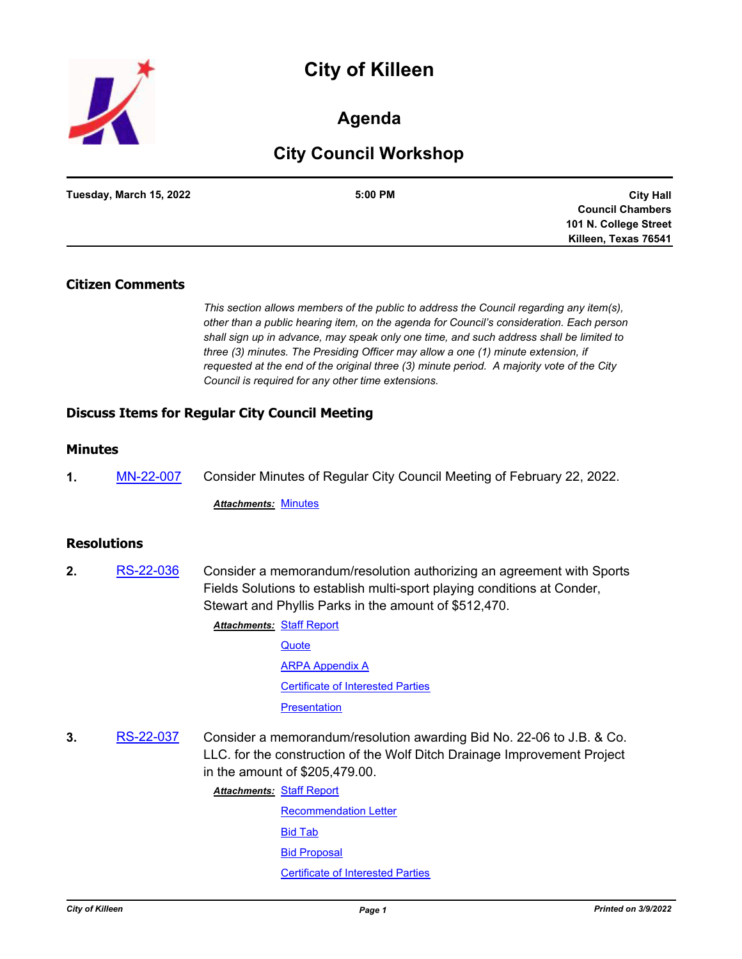# **City of Killeen**



### **Agenda**

## **City Council Workshop**

| Tuesday, March 15, 2022 | 5:00 PM | <b>City Hall</b>        |
|-------------------------|---------|-------------------------|
|                         |         | <b>Council Chambers</b> |
|                         |         | 101 N. College Street   |
|                         |         | Killeen, Texas 76541    |

#### **Citizen Comments**

*This section allows members of the public to address the Council regarding any item(s), other than a public hearing item, on the agenda for Council's consideration. Each person shall sign up in advance, may speak only one time, and such address shall be limited to three (3) minutes. The Presiding Officer may allow a one (1) minute extension, if requested at the end of the original three (3) minute period. A majority vote of the City Council is required for any other time extensions.*

### **Discuss Items for Regular City Council Meeting**

#### **Minutes**

**1.** [MN-22-007](http://killeen.legistar.com/gateway.aspx?m=l&id=/matter.aspx?key=6000) Consider Minutes of Regular City Council Meeting of February 22, 2022.

*Attachments:* [Minutes](http://killeen.legistar.com/gateway.aspx?M=F&ID=c27470ac-efd9-45bd-bccd-faab0a942cbd.pdf)

#### **Resolutions**

**2.** [RS-22-036](http://killeen.legistar.com/gateway.aspx?m=l&id=/matter.aspx?key=5996) Consider a memorandum/resolution authorizing an agreement with Sports Fields Solutions to establish multi-sport playing conditions at Conder, Stewart and Phyllis Parks in the amount of \$512,470.

**Attachments: [Staff Report](http://killeen.legistar.com/gateway.aspx?M=F&ID=7cbb4fee-84d2-4030-9290-e5a1832ec02f.pdf)** 

**[Quote](http://killeen.legistar.com/gateway.aspx?M=F&ID=1e47bcc2-4aaa-42df-af9c-fdd754d3fa5d.pdf)** [ARPA Appendix A](http://killeen.legistar.com/gateway.aspx?M=F&ID=d69ecd3b-15eb-48ad-8cf1-82000b24ffc0.pdf) [Certificate of Interested Parties](http://killeen.legistar.com/gateway.aspx?M=F&ID=ff9a5fe9-7fba-42d2-bf6b-dc362688c3dc.pdf) **[Presentation](http://killeen.legistar.com/gateway.aspx?M=F&ID=138bad81-81be-44cf-9c23-77c3bff8ff6e.pdf)** 

**3.** [RS-22-037](http://killeen.legistar.com/gateway.aspx?m=l&id=/matter.aspx?key=6002) Consider a memorandum/resolution awarding Bid No. 22-06 to J.B. & Co. LLC. for the construction of the Wolf Ditch Drainage Improvement Project in the amount of \$205,479.00.

[Staff Report](http://killeen.legistar.com/gateway.aspx?M=F&ID=3d90d413-795e-4fc2-9554-4f2aba65d6e3.pdf) *Attachments:*

[Recommendation Letter](http://killeen.legistar.com/gateway.aspx?M=F&ID=f4e61131-6d89-41a4-acc6-9402872570f0.pdf) [Bid Tab](http://killeen.legistar.com/gateway.aspx?M=F&ID=7a12ef10-e218-4430-97a0-ef46790f3b4b.pdf) [Bid Proposal](http://killeen.legistar.com/gateway.aspx?M=F&ID=5b5ba8fd-dbd3-4040-b0c6-d8afecbb8b46.pdf) [Certificate of Interested Parties](http://killeen.legistar.com/gateway.aspx?M=F&ID=475068af-ed8e-4ac3-89f5-a1adfaceedc2.pdf)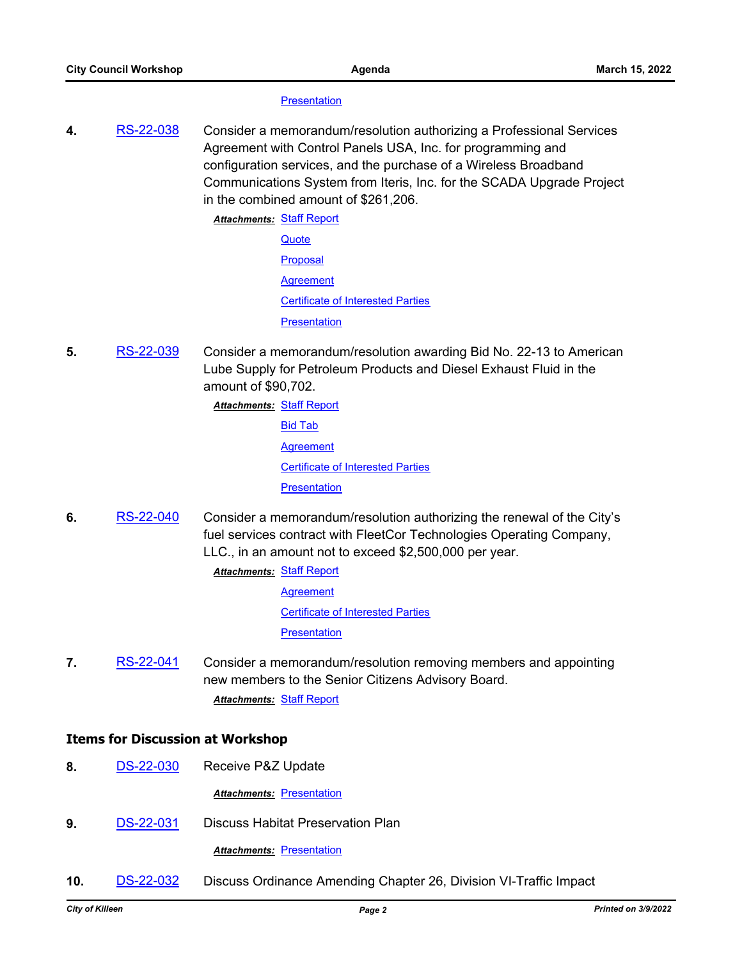#### **[Presentation](http://killeen.legistar.com/gateway.aspx?M=F&ID=df3575b3-a98f-4dfe-ba37-8fe01af9323f.pdf)**

**4.** [RS-22-038](http://killeen.legistar.com/gateway.aspx?m=l&id=/matter.aspx?key=6007) Consider a memorandum/resolution authorizing a Professional Services Agreement with Control Panels USA, Inc. for programming and configuration services, and the purchase of a Wireless Broadband Communications System from Iteris, Inc. for the SCADA Upgrade Project in the combined amount of \$261,206.

**Attachments: [Staff Report](http://killeen.legistar.com/gateway.aspx?M=F&ID=69ab19e5-0a1c-495f-b81a-0bbcd2f7134b.pdf)** 

- **[Quote](http://killeen.legistar.com/gateway.aspx?M=F&ID=39e2007c-2ad2-4ac5-a0ec-5f082c9c341e.pdf)** [Proposal](http://killeen.legistar.com/gateway.aspx?M=F&ID=5efface1-98e8-46ea-927c-b66d01a84f87.pdf) **[Agreement](http://killeen.legistar.com/gateway.aspx?M=F&ID=2d86cd80-3e6d-4229-9d5a-4b866f157c9c.pdf)** [Certificate of Interested Parties](http://killeen.legistar.com/gateway.aspx?M=F&ID=6535a771-9234-43f3-a343-89445cad7151.pdf) **[Presentation](http://killeen.legistar.com/gateway.aspx?M=F&ID=49fb467b-58fb-4436-a378-cffd597b030f.pdf)**
- **5.** [RS-22-039](http://killeen.legistar.com/gateway.aspx?m=l&id=/matter.aspx?key=6006) Consider a memorandum/resolution awarding Bid No. 22-13 to American Lube Supply for Petroleum Products and Diesel Exhaust Fluid in the amount of \$90,702.

[Staff Report](http://killeen.legistar.com/gateway.aspx?M=F&ID=9f46e4f6-1928-40ca-8e44-7e07d7125f74.pdf) *Attachments:*

[Bid Tab](http://killeen.legistar.com/gateway.aspx?M=F&ID=62681763-1ff4-4586-ac4d-027fcbcfee21.pdf) **[Agreement](http://killeen.legistar.com/gateway.aspx?M=F&ID=d1e98ac9-dc52-4831-a873-7a0f882f26e8.pdf)** 

[Certificate of Interested Parties](http://killeen.legistar.com/gateway.aspx?M=F&ID=9efb83fd-12f5-41d8-8dd6-bc438088fa16.pdf)

**[Presentation](http://killeen.legistar.com/gateway.aspx?M=F&ID=6e96e870-2b3a-4f30-8cdc-ee63f1ae414e.pdf)** 

**6.** [RS-22-040](http://killeen.legistar.com/gateway.aspx?m=l&id=/matter.aspx?key=6008) Consider a memorandum/resolution authorizing the renewal of the City's fuel services contract with FleetCor Technologies Operating Company, LLC., in an amount not to exceed \$2,500,000 per year.

> **Attachments: [Staff Report](http://killeen.legistar.com/gateway.aspx?M=F&ID=34cee70c-b8e5-413a-8b49-642a06937692.pdf)** [Agreement](http://killeen.legistar.com/gateway.aspx?M=F&ID=58ebe1f4-93bd-4642-8eed-59f1a5d557f6.pdf) [Certificate of Interested Parties](http://killeen.legistar.com/gateway.aspx?M=F&ID=d6ef5780-0277-4aeb-ac27-54d84816d1d9.pdf) **[Presentation](http://killeen.legistar.com/gateway.aspx?M=F&ID=9a41c302-7708-4fe6-b44a-9e956a55d67d.pdf)**

**7.** [RS-22-041](http://killeen.legistar.com/gateway.aspx?m=l&id=/matter.aspx?key=6029) Consider a memorandum/resolution removing members and appointing new members to the Senior Citizens Advisory Board. *Attachments:* [Staff Report](http://killeen.legistar.com/gateway.aspx?M=F&ID=bf037fea-070b-408b-86d5-81c1b320b530.pdf)

#### **Items for Discussion at Workshop**

**8.** [DS-22-030](http://killeen.legistar.com/gateway.aspx?m=l&id=/matter.aspx?key=6011) Receive P&Z Update

**Attachments: [Presentation](http://killeen.legistar.com/gateway.aspx?M=F&ID=3495ad13-5bc3-4437-9a29-7b9e087830c6.pdf)** 

- **9.** [DS-22-031](http://killeen.legistar.com/gateway.aspx?m=l&id=/matter.aspx?key=6023) Discuss Habitat Preservation Plan **Attachments: [Presentation](http://killeen.legistar.com/gateway.aspx?M=F&ID=b024b788-301b-4842-899f-b4e57fd841c6.pdf)**
- **10.** [DS-22-032](http://killeen.legistar.com/gateway.aspx?m=l&id=/matter.aspx?key=6028) Discuss Ordinance Amending Chapter 26, Division VI-Traffic Impact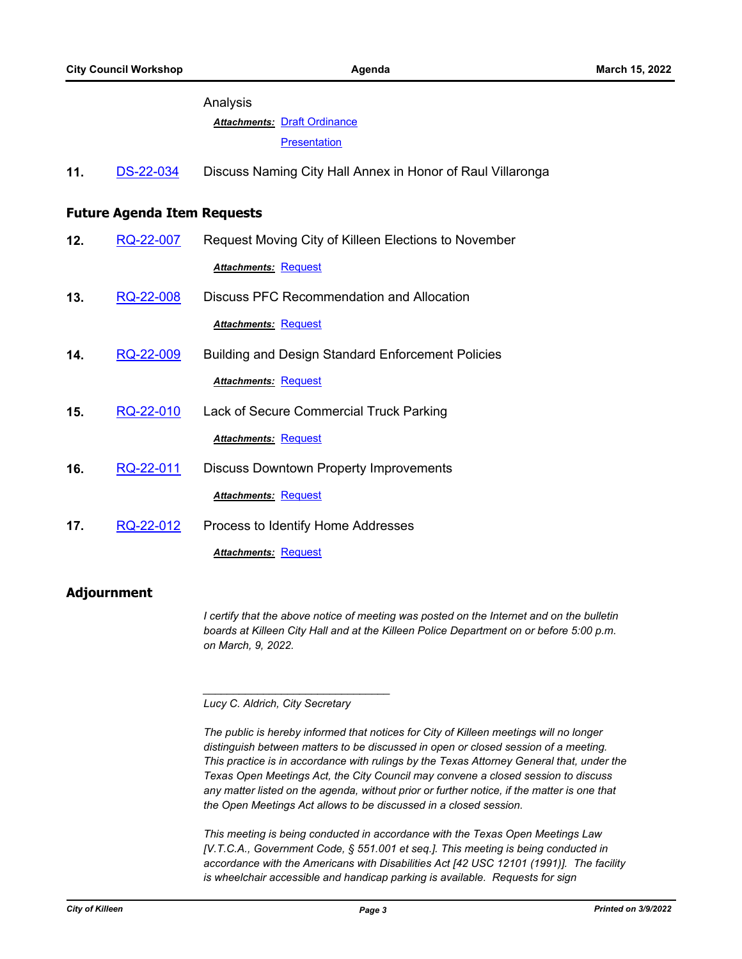|                                    |           | Analysis                                                   |
|------------------------------------|-----------|------------------------------------------------------------|
|                                    |           | <b>Attachments: Draft Ordinance</b>                        |
|                                    |           | <b>Presentation</b>                                        |
| 11.                                | DS-22-034 | Discuss Naming City Hall Annex in Honor of Raul Villaronga |
| <b>Future Agenda Item Requests</b> |           |                                                            |
| 12.                                | RQ-22-007 | Request Moving City of Killeen Elections to November       |
|                                    |           | <b>Attachments: Request</b>                                |
| 13.                                | RQ-22-008 | <b>Discuss PFC Recommendation and Allocation</b>           |
|                                    |           | <b>Attachments: Request</b>                                |
| 14.                                | RQ-22-009 | <b>Building and Design Standard Enforcement Policies</b>   |
|                                    |           | <b>Attachments: Request</b>                                |
| 15.                                | RQ-22-010 | Lack of Secure Commercial Truck Parking                    |
|                                    |           | <b>Attachments: Request</b>                                |
| 16.                                | RQ-22-011 | <b>Discuss Downtown Property Improvements</b>              |
|                                    |           | <b>Attachments: Request</b>                                |
| 17.                                | RQ-22-012 | Process to Identify Home Addresses                         |
|                                    |           | <b>Attachments: Request</b>                                |

### **Adjournment**

*I certify that the above notice of meeting was posted on the Internet and on the bulletin boards at Killeen City Hall and at the Killeen Police Department on or before 5:00 p.m. on March, 9, 2022.*

*Lucy C. Aldrich, City Secretary* 

*\_\_\_\_\_\_\_\_\_\_\_\_\_\_\_\_\_\_\_\_\_\_\_\_\_\_\_\_\_\_\_*

*The public is hereby informed that notices for City of Killeen meetings will no longer distinguish between matters to be discussed in open or closed session of a meeting. This practice is in accordance with rulings by the Texas Attorney General that, under the Texas Open Meetings Act, the City Council may convene a closed session to discuss any matter listed on the agenda, without prior or further notice, if the matter is one that the Open Meetings Act allows to be discussed in a closed session.*

*This meeting is being conducted in accordance with the Texas Open Meetings Law [V.T.C.A., Government Code, § 551.001 et seq.]. This meeting is being conducted in accordance with the Americans with Disabilities Act [42 USC 12101 (1991)]. The facility is wheelchair accessible and handicap parking is available. Requests for sign*